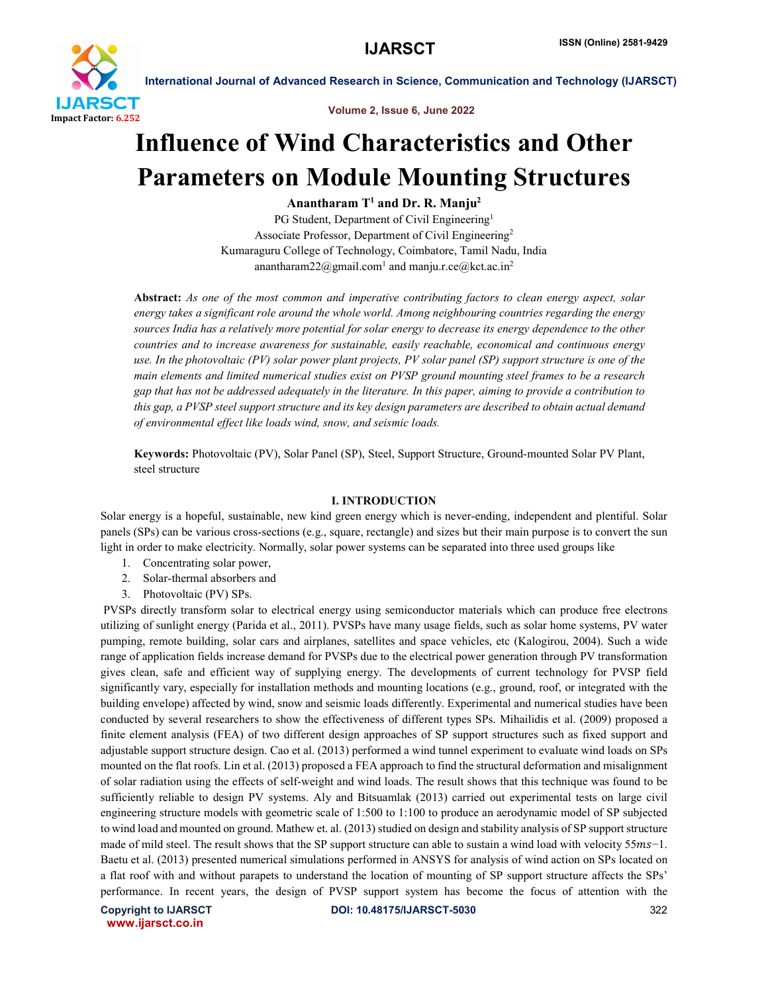

Volume 2, Issue 6, June 2022

## Influence of Wind Characteristics and Other Parameters on Module Mounting Structures

Anantharam  $T<sup>1</sup>$  and Dr. R. Manju<sup>2</sup>

PG Student, Department of Civil Engineering<sup>1</sup> Associate Professor, Department of Civil Engineering2 Kumaraguru College of Technology, Coimbatore, Tamil Nadu, India anantharam22@gmail.com<sup>1</sup> and manju.r.ce@kct.ac.in<sup>2</sup>

Abstract: *As one of the most common and imperative contributing factors to clean energy aspect, solar energy takes a significant role around the whole world. Among neighbouring countries regarding the energy sources India has a relatively more potential for solar energy to decrease its energy dependence to the other countries and to increase awareness for sustainable, easily reachable, economical and continuous energy use. In the photovoltaic (PV) solar power plant projects, PV solar panel (SP) support structure is one of the main elements and limited numerical studies exist on PVSP ground mounting steel frames to be a research gap that has not be addressed adequately in the literature. In this paper, aiming to provide a contribution to this gap, a PVSP steel support structure and its key design parameters are described to obtain actual demand of environmental effect like loads wind, snow, and seismic loads.*

Keywords: Photovoltaic (PV), Solar Panel (SP), Steel, Support Structure, Ground-mounted Solar PV Plant, steel structure

### I. INTRODUCTION

Solar energy is a hopeful, sustainable, new kind green energy which is never-ending, independent and plentiful. Solar panels (SPs) can be various cross-sections (e.g., square, rectangle) and sizes but their main purpose is to convert the sun light in order to make electricity. Normally, solar power systems can be separated into three used groups like

- 1. Concentrating solar power,
- 2. Solar-thermal absorbers and
- 3. Photovoltaic (PV) SPs.

PVSPs directly transform solar to electrical energy using semiconductor materials which can produce free electrons utilizing of sunlight energy (Parida et al., 2011). PVSPs have many usage fields, such as solar home systems, PV water pumping, remote building, solar cars and airplanes, satellites and space vehicles, etc (Kalogirou, 2004). Such a wide range of application fields increase demand for PVSPs due to the electrical power generation through PV transformation gives clean, safe and efficient way of supplying energy. The developments of current technology for PVSP field significantly vary, especially for installation methods and mounting locations (e.g., ground, roof, or integrated with the building envelope) affected by wind, snow and seismic loads differently. Experimental and numerical studies have been conducted by several researchers to show the effectiveness of different types SPs. Mihailidis et al. (2009) proposed a finite element analysis (FEA) of two different design approaches of SP support structures such as fixed support and adjustable support structure design. Cao et al. (2013) performed a wind tunnel experiment to evaluate wind loads on SPs mounted on the flat roofs. Lin et al. (2013) proposed a FEA approach to find the structural deformation and misalignment of solar radiation using the effects of self-weight and wind loads. The result shows that this technique was found to be sufficiently reliable to design PV systems. Aly and Bitsuamlak (2013) carried out experimental tests on large civil engineering structure models with geometric scale of 1:500 to 1:100 to produce an aerodynamic model of SP subjected to wind load and mounted on ground. Mathew et. al. (2013) studied on design and stability analysis of SP support structure made of mild steel. The result shows that the SP support structure can able to sustain a wind load with velocity 55ms–1. Baetu et al. (2013) presented numerical simulations performed in ANSYS for analysis of wind action on SPs located on a flat roof with and without parapets to understand the location of mounting of SP support structure affects the SPs' performance. In recent years, the design of PVSP support system has become the focus of attention with the

www.ijarsct.co.in

Copyright to IJARSCT **DOI: 10.48175/IJARSCT-5030** 322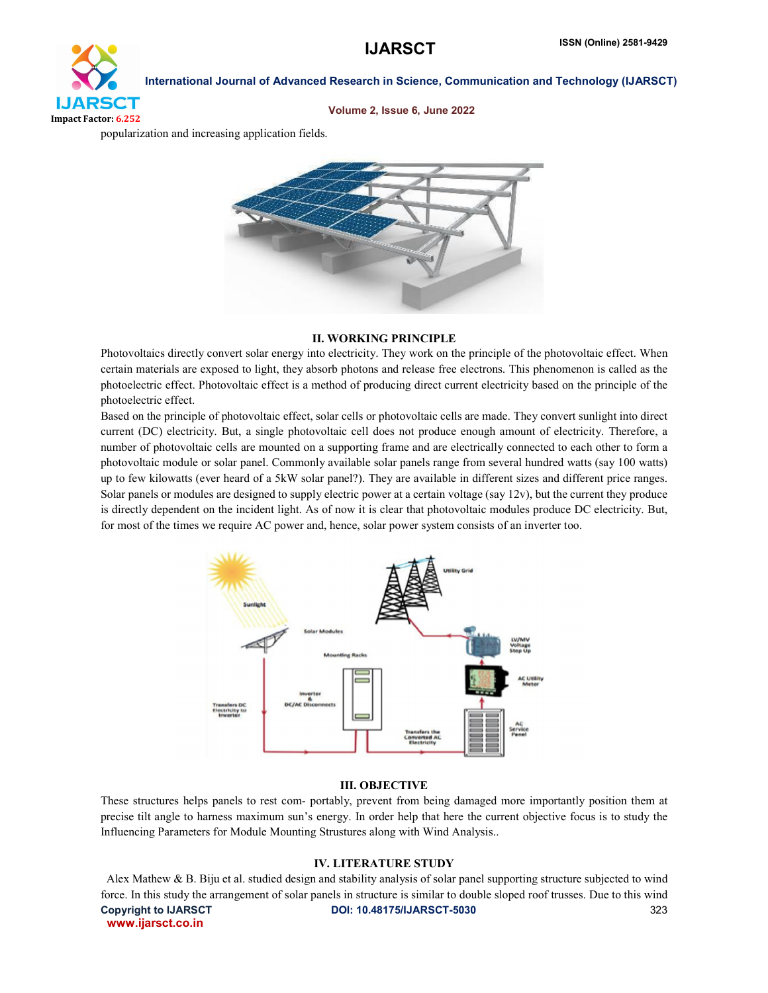# **IJARSCT** Impact Factor: 6.252

International Journal of Advanced Research in Science, Communication and Technology (IJARSCT)

#### Volume 2, Issue 6, June 2022

popularization and increasing application fields.



### II. WORKING PRINCIPLE

Photovoltaics directly convert solar energy into electricity. They work on the principle of the photovoltaic effect. When certain materials are exposed to light, they absorb photons and release free electrons. This phenomenon is called as the photoelectric effect. Photovoltaic effect is a method of producing direct current electricity based on the principle of the photoelectric effect.

Based on the principle of photovoltaic effect, solar cells or photovoltaic cells are made. They convert sunlight into direct current (DC) electricity. But, a single photovoltaic cell does not produce enough amount of electricity. Therefore, a number of photovoltaic cells are mounted on a supporting frame and are electrically connected to each other to form a photovoltaic module or solar panel. Commonly available solar panels range from several hundred watts (say 100 watts) up to few kilowatts (ever heard of a 5kW solar panel?). They are available in different sizes and different price ranges. Solar panels or modules are designed to supply electric power at a certain voltage (say 12v), but the current they produce is directly dependent on the incident light. As of now it is clear that photovoltaic modules produce DC electricity. But, for most of the times we require AC power and, hence, solar power system consists of an inverter too.



#### III. OBJECTIVE

These structures helps panels to rest com- portably, prevent from being damaged more importantly position them at precise tilt angle to harness maximum sun's energy. In order help that here the current objective focus is to study the Influencing Parameters for Module Mounting Strustures along with Wind Analysis..

#### IV. LITERATURE STUDY

Copyright to IJARSCT **DOI: 10.48175/IJARSCT-5030** 323 www.ijarsct.co.in Alex Mathew & B. Biju et al. studied design and stability analysis of solar panel supporting structure subjected to wind force. In this study the arrangement of solar panels in structure is similar to double sloped roof trusses. Due to this wind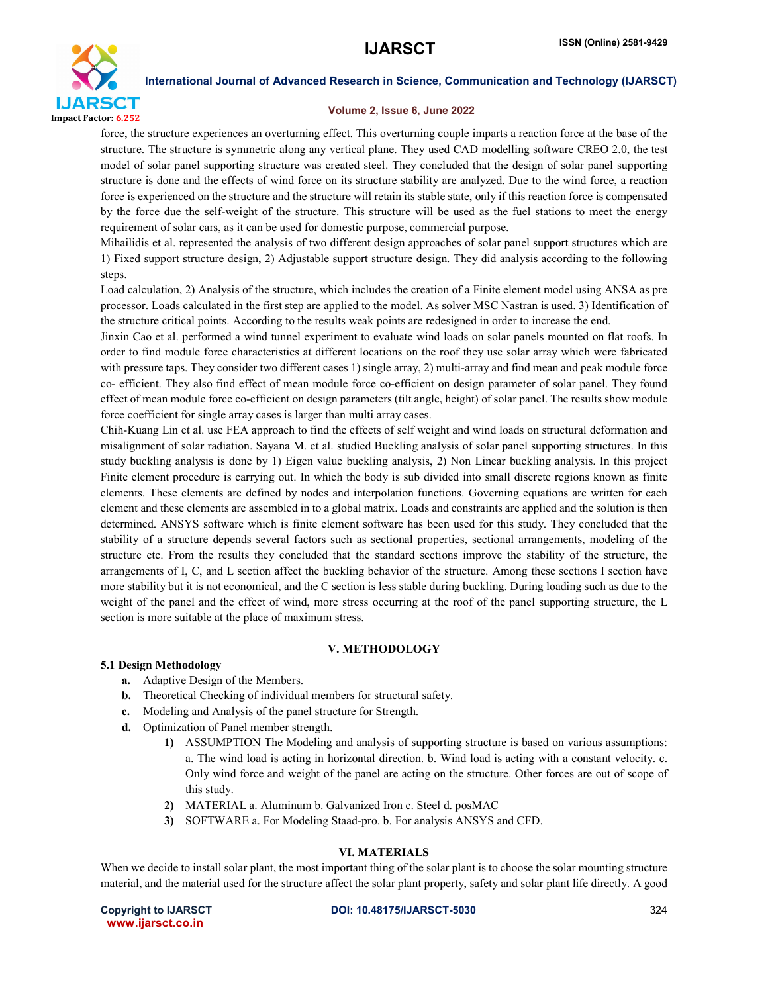

#### Volume 2, Issue 6, June 2022

force, the structure experiences an overturning effect. This overturning couple imparts a reaction force at the base of the structure. The structure is symmetric along any vertical plane. They used CAD modelling software CREO 2.0, the test model of solar panel supporting structure was created steel. They concluded that the design of solar panel supporting structure is done and the effects of wind force on its structure stability are analyzed. Due to the wind force, a reaction force is experienced on the structure and the structure will retain its stable state, only if this reaction force is compensated by the force due the self-weight of the structure. This structure will be used as the fuel stations to meet the energy requirement of solar cars, as it can be used for domestic purpose, commercial purpose.

Mihailidis et al. represented the analysis of two different design approaches of solar panel support structures which are 1) Fixed support structure design, 2) Adjustable support structure design. They did analysis according to the following steps.

Load calculation, 2) Analysis of the structure, which includes the creation of a Finite element model using ANSA as pre processor. Loads calculated in the first step are applied to the model. As solver MSC Nastran is used. 3) Identification of the structure critical points. According to the results weak points are redesigned in order to increase the end.

Jinxin Cao et al. performed a wind tunnel experiment to evaluate wind loads on solar panels mounted on flat roofs. In order to find module force characteristics at different locations on the roof they use solar array which were fabricated with pressure taps. They consider two different cases 1) single array, 2) multi-array and find mean and peak module force co- efficient. They also find effect of mean module force co-efficient on design parameter of solar panel. They found effect of mean module force co-efficient on design parameters (tilt angle, height) of solar panel. The results show module force coefficient for single array cases is larger than multi array cases.

Chih-Kuang Lin et al. use FEA approach to find the effects of self weight and wind loads on structural deformation and misalignment of solar radiation. Sayana M. et al. studied Buckling analysis of solar panel supporting structures. In this study buckling analysis is done by 1) Eigen value buckling analysis, 2) Non Linear buckling analysis. In this project Finite element procedure is carrying out. In which the body is sub divided into small discrete regions known as finite elements. These elements are defined by nodes and interpolation functions. Governing equations are written for each element and these elements are assembled in to a global matrix. Loads and constraints are applied and the solution is then determined. ANSYS software which is finite element software has been used for this study. They concluded that the stability of a structure depends several factors such as sectional properties, sectional arrangements, modeling of the structure etc. From the results they concluded that the standard sections improve the stability of the structure, the arrangements of I, C, and L section affect the buckling behavior of the structure. Among these sections I section have more stability but it is not economical, and the C section is less stable during buckling. During loading such as due to the weight of the panel and the effect of wind, more stress occurring at the roof of the panel supporting structure, the L section is more suitable at the place of maximum stress.

### V. METHODOLOGY

#### 5.1 Design Methodology

- a. Adaptive Design of the Members.
- b. Theoretical Checking of individual members for structural safety.
- c. Modeling and Analysis of the panel structure for Strength.
- d. Optimization of Panel member strength.
	- 1) ASSUMPTION The Modeling and analysis of supporting structure is based on various assumptions: a. The wind load is acting in horizontal direction. b. Wind load is acting with a constant velocity. c. Only wind force and weight of the panel are acting on the structure. Other forces are out of scope of this study.
	- 2) MATERIAL a. Aluminum b. Galvanized Iron c. Steel d. posMAC
	- 3) SOFTWARE a. For Modeling Staad-pro. b. For analysis ANSYS and CFD.

### VI. MATERIALS

When we decide to install solar plant, the most important thing of the solar plant is to choose the solar mounting structure material, and the material used for the structure affect the solar plant property, safety and solar plant life directly. A good

www.ijarsct.co.in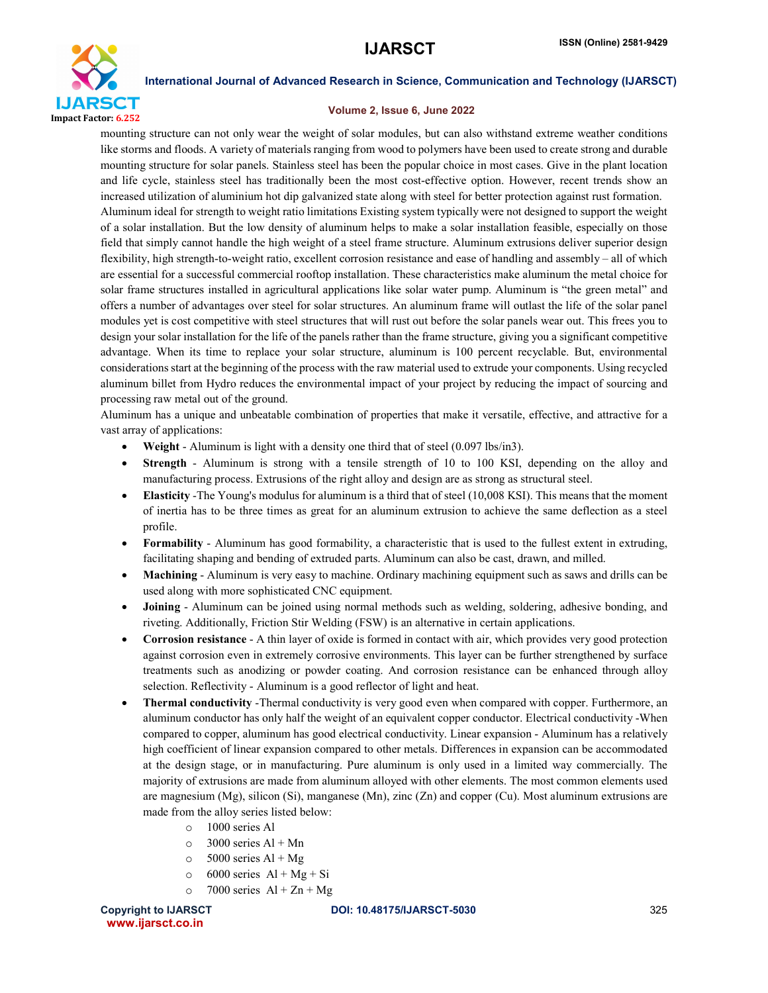

#### Volume 2, Issue 6, June 2022

mounting structure can not only wear the weight of solar modules, but can also withstand extreme weather conditions like storms and floods. A variety of materials ranging from wood to polymers have been used to create strong and durable mounting structure for solar panels. Stainless steel has been the popular choice in most cases. Give in the plant location and life cycle, stainless steel has traditionally been the most cost-effective option. However, recent trends show an increased utilization of aluminium hot dip galvanized state along with steel for better protection against rust formation. Aluminum ideal for strength to weight ratio limitations Existing system typically were not designed to support the weight of a solar installation. But the low density of aluminum helps to make a solar installation feasible, especially on those field that simply cannot handle the high weight of a steel frame structure. Aluminum extrusions deliver superior design flexibility, high strength-to-weight ratio, excellent corrosion resistance and ease of handling and assembly – all of which are essential for a successful commercial rooftop installation. These characteristics make aluminum the metal choice for solar frame structures installed in agricultural applications like solar water pump. Aluminum is "the green metal" and offers a number of advantages over steel for solar structures. An aluminum frame will outlast the life of the solar panel modules yet is cost competitive with steel structures that will rust out before the solar panels wear out. This frees you to design your solar installation for the life of the panels rather than the frame structure, giving you a significant competitive advantage. When its time to replace your solar structure, aluminum is 100 percent recyclable. But, environmental considerations start at the beginning of the process with the raw material used to extrude your components. Using recycled aluminum billet from Hydro reduces the environmental impact of your project by reducing the impact of sourcing and processing raw metal out of the ground.

Aluminum has a unique and unbeatable combination of properties that make it versatile, effective, and attractive for a vast array of applications:

- Weight Aluminum is light with a density one third that of steel (0.097 lbs/in3).
- Strength Aluminum is strong with a tensile strength of 10 to 100 KSI, depending on the alloy and manufacturing process. Extrusions of the right alloy and design are as strong as structural steel.
- Elasticity -The Young's modulus for aluminum is a third that of steel (10,008 KSI). This means that the moment of inertia has to be three times as great for an aluminum extrusion to achieve the same deflection as a steel profile.
- Formability Aluminum has good formability, a characteristic that is used to the fullest extent in extruding, facilitating shaping and bending of extruded parts. Aluminum can also be cast, drawn, and milled.
- Machining Aluminum is very easy to machine. Ordinary machining equipment such as saws and drills can be used along with more sophisticated CNC equipment.
- Joining Aluminum can be joined using normal methods such as welding, soldering, adhesive bonding, and riveting. Additionally, Friction Stir Welding (FSW) is an alternative in certain applications.
- Corrosion resistance A thin layer of oxide is formed in contact with air, which provides very good protection against corrosion even in extremely corrosive environments. This layer can be further strengthened by surface treatments such as anodizing or powder coating. And corrosion resistance can be enhanced through alloy selection. Reflectivity - Aluminum is a good reflector of light and heat.
- Thermal conductivity -Thermal conductivity is very good even when compared with copper. Furthermore, an aluminum conductor has only half the weight of an equivalent copper conductor. Electrical conductivity -When compared to copper, aluminum has good electrical conductivity. Linear expansion - Aluminum has a relatively high coefficient of linear expansion compared to other metals. Differences in expansion can be accommodated at the design stage, or in manufacturing. Pure aluminum is only used in a limited way commercially. The majority of extrusions are made from aluminum alloyed with other elements. The most common elements used are magnesium (Mg), silicon (Si), manganese (Mn), zinc  $(Zn)$  and copper (Cu). Most aluminum extrusions are made from the alloy series listed below:
	- o 1000 series Al
	- $\circ$  3000 series Al + Mn
	- $\circ$  5000 series Al + Mg
	- $\circ$  6000 series Al + Mg + Si
	- $\circ$  7000 series Al + Zn + Mg

www.ijarsct.co.in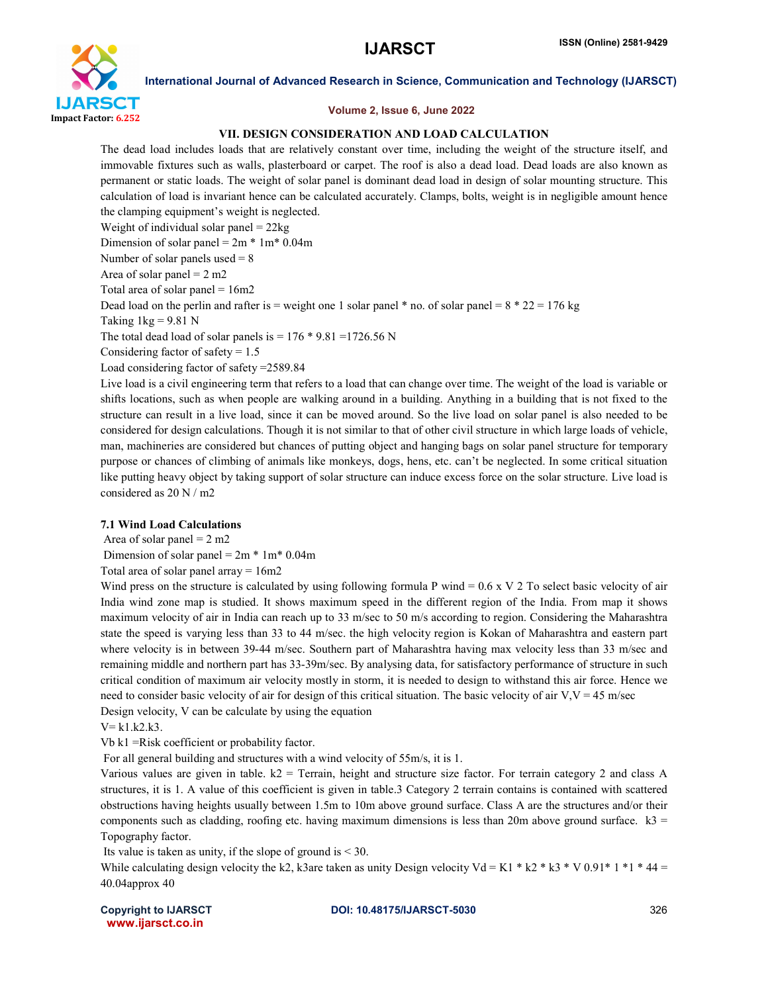

#### Volume 2, Issue 6, June 2022

## VII. DESIGN CONSIDERATION AND LOAD CALCULATION

The dead load includes loads that are relatively constant over time, including the weight of the structure itself, and immovable fixtures such as walls, plasterboard or carpet. The roof is also a dead load. Dead loads are also known as permanent or static loads. The weight of solar panel is dominant dead load in design of solar mounting structure. This calculation of load is invariant hence can be calculated accurately. Clamps, bolts, weight is in negligible amount hence the clamping equipment's weight is neglected. Weight of individual solar panel  $= 22kg$ Dimension of solar panel =  $2m * 1m * 0.04m$ Number of solar panels used  $= 8$ Area of solar panel  $= 2$  m2 Total area of solar panel  $= 16m2$ Dead load on the perlin and rafter is = weight one 1 solar panel  $*$  no. of solar panel =  $8 * 22 = 176$  kg Taking  $1kg = 9.81$  N

The total dead load of solar panels is  $= 176 * 9.81 = 1726.56$  N

Considering factor of safety  $= 1.5$ 

Load considering factor of safety =2589.84

Live load is a civil engineering term that refers to a load that can change over time. The weight of the load is variable or shifts locations, such as when people are walking around in a building. Anything in a building that is not fixed to the structure can result in a live load, since it can be moved around. So the live load on solar panel is also needed to be considered for design calculations. Though it is not similar to that of other civil structure in which large loads of vehicle, man, machineries are considered but chances of putting object and hanging bags on solar panel structure for temporary purpose or chances of climbing of animals like monkeys, dogs, hens, etc. can't be neglected. In some critical situation like putting heavy object by taking support of solar structure can induce excess force on the solar structure. Live load is considered as 20 N / m2

## 7.1 Wind Load Calculations

Area of solar panel  $= 2$  m2

Dimension of solar panel =  $2m * 1m * 0.04m$ 

Total area of solar panel array = 16m2

Wind press on the structure is calculated by using following formula P wind = 0.6 x V 2 To select basic velocity of air India wind zone map is studied. It shows maximum speed in the different region of the India. From map it shows maximum velocity of air in India can reach up to 33 m/sec to 50 m/s according to region. Considering the Maharashtra state the speed is varying less than 33 to 44 m/sec. the high velocity region is Kokan of Maharashtra and eastern part where velocity is in between 39-44 m/sec. Southern part of Maharashtra having max velocity less than 33 m/sec and remaining middle and northern part has 33-39m/sec. By analysing data, for satisfactory performance of structure in such critical condition of maximum air velocity mostly in storm, it is needed to design to withstand this air force. Hence we need to consider basic velocity of air for design of this critical situation. The basic velocity of air  $V, V = 45$  m/sec Design velocity, V can be calculate by using the equation

 $V = k1.k2.k3.$ 

Vb k1 =Risk coefficient or probability factor.

For all general building and structures with a wind velocity of 55m/s, it is 1.

Various values are given in table.  $k2$  = Terrain, height and structure size factor. For terrain category 2 and class A structures, it is 1. A value of this coefficient is given in table.3 Category 2 terrain contains is contained with scattered obstructions having heights usually between 1.5m to 10m above ground surface. Class A are the structures and/or their components such as cladding, roofing etc. having maximum dimensions is less than 20m above ground surface.  $k3 =$ Topography factor.

Its value is taken as unity, if the slope of ground is  $< 30$ .

While calculating design velocity the k2, k3are taken as unity Design velocity Vd = K1 \* k2 \* k3 \* V 0.91\* 1 \*1 \* 44 = 40.04approx 40

www.ijarsct.co.in